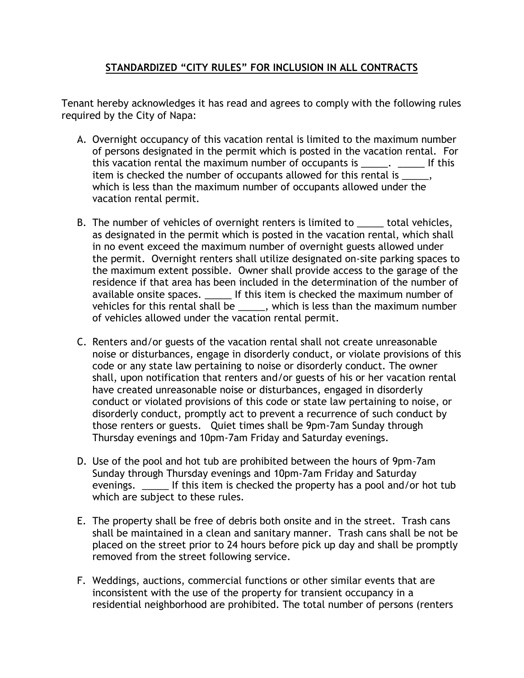## **STANDARDIZED "CITY RULES" FOR INCLUSION IN ALL CONTRACTS**

Tenant hereby acknowledges it has read and agrees to comply with the following rules required by the City of Napa:

- A. Overnight occupancy of this vacation rental is limited to the maximum number of persons designated in the permit which is posted in the vacation rental. For this vacation rental the maximum number of occupants is \_\_\_\_\_. \_\_\_\_\_\_\_ If this item is checked the number of occupants allowed for this rental is  $\qquad \qquad$ , which is less than the maximum number of occupants allowed under the vacation rental permit.
- B. The number of vehicles of overnight renters is limited to \_\_\_\_\_ total vehicles, as designated in the permit which is posted in the vacation rental, which shall in no event exceed the maximum number of overnight guests allowed under the permit. Overnight renters shall utilize designated on-site parking spaces to the maximum extent possible. Owner shall provide access to the garage of the residence if that area has been included in the determination of the number of available onsite spaces. \_\_\_\_\_ If this item is checked the maximum number of vehicles for this rental shall be \_\_\_\_\_, which is less than the maximum number of vehicles allowed under the vacation rental permit.
- C. Renters and/or guests of the vacation rental shall not create unreasonable noise or disturbances, engage in disorderly conduct, or violate provisions of this code or any state law pertaining to noise or disorderly conduct. The owner shall, upon notification that renters and/or guests of his or her vacation rental have created unreasonable noise or disturbances, engaged in disorderly conduct or violated provisions of this code or state law pertaining to noise, or disorderly conduct, promptly act to prevent a recurrence of such conduct by those renters or guests. Quiet times shall be 9pm-7am Sunday through Thursday evenings and 10pm-7am Friday and Saturday evenings.
- D. Use of the pool and hot tub are prohibited between the hours of 9pm-7am Sunday through Thursday evenings and 10pm-7am Friday and Saturday evenings. The light of this item is checked the property has a pool and/or hot tub which are subject to these rules.
- E. The property shall be free of debris both onsite and in the street. Trash cans shall be maintained in a clean and sanitary manner. Trash cans shall be not be placed on the street prior to 24 hours before pick up day and shall be promptly removed from the street following service.
- F. Weddings, auctions, commercial functions or other similar events that are inconsistent with the use of the property for transient occupancy in a residential neighborhood are prohibited. The total number of persons (renters